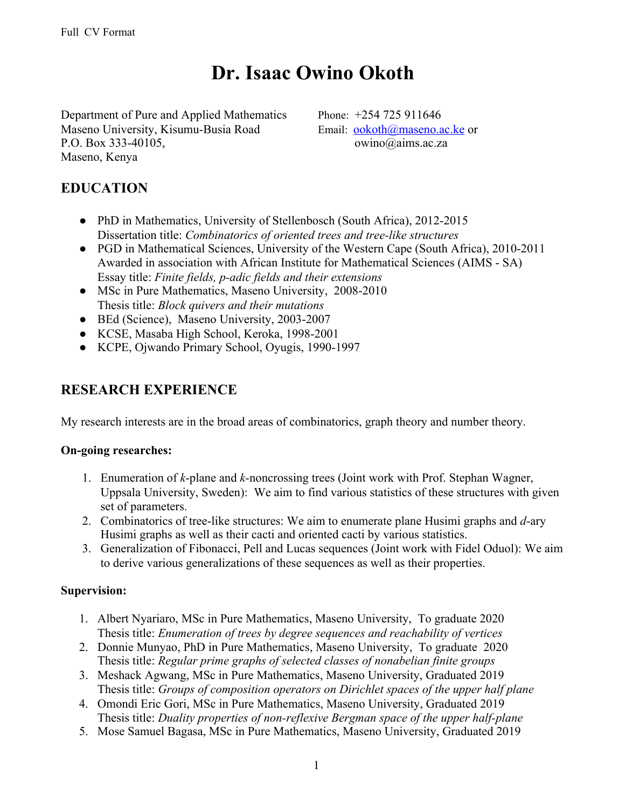# **Dr. Isaac Owino Okoth**

Department of Pure and Applied Mathematics Phone: +254 725 911646 Maseno University, Kisumu-Busia Road Email: [ookoth@maseno.ac.ke](mailto:ookoth@maseno.ac.ke) or P.O. Box 333-40105, owino@aims.ac.za Maseno, Kenya

#### **EDUCATION**

- PhD in Mathematics, University of Stellenbosch (South Africa), 2012-2015 Dissertation title: *Combinatorics of oriented trees and tree-like structures*
- PGD in Mathematical Sciences, University of the Western Cape (South Africa), 2010-2011 Awarded in association with African Institute for Mathematical Sciences (AIMS - SA) Essay title: *Finite fields, p-adic fields and their extensions*
- MSc in Pure Mathematics, Maseno University, 2008-2010 Thesis title: *Block quivers and their mutations*
- BEd (Science), Maseno University, 2003-2007
- KCSE, Masaba High School, Keroka, 1998-2001
- KCPE, Ojwando Primary School, Oyugis, 1990-1997

### **RESEARCH EXPERIENCE**

My research interests are in the broad areas of combinatorics, graph theory and number theory.

#### **On-going researches:**

- 1. Enumeration of *k*-plane and *k*-noncrossing trees (Joint work with Prof. Stephan Wagner, Uppsala University, Sweden): We aim to find various statistics of these structures with given set of parameters.
- 2. Combinatorics of tree-like structures: We aim to enumerate plane Husimi graphs and *d*-ary Husimi graphs as well as their cacti and oriented cacti by various statistics.
- 3. Generalization of Fibonacci, Pell and Lucas sequences (Joint work with Fidel Oduol): We aim to derive various generalizations of these sequences as well as their properties.

#### **Supervision:**

- 1. Albert Nyariaro, MSc in Pure Mathematics, Maseno University, To graduate 2020 Thesis title: *Enumeration of trees by degree sequences and reachability of vertices*
- 2. Donnie Munyao, PhD in Pure Mathematics, Maseno University, To graduate 2020 Thesis title: *Regular prime graphs of selected classes of nonabelian finite groups*
- 3. Meshack Agwang, MSc in Pure Mathematics, Maseno University, Graduated 2019 Thesis title: *Groups of composition operators on Dirichlet spaces of the upper half plane*
- 4. Omondi Eric Gori, MSc in Pure Mathematics, Maseno University, Graduated 2019 Thesis title: *Duality properties of non-reflexive Bergman space of the upper half-plane*
- 5. Mose Samuel Bagasa, MSc in Pure Mathematics, Maseno University, Graduated 2019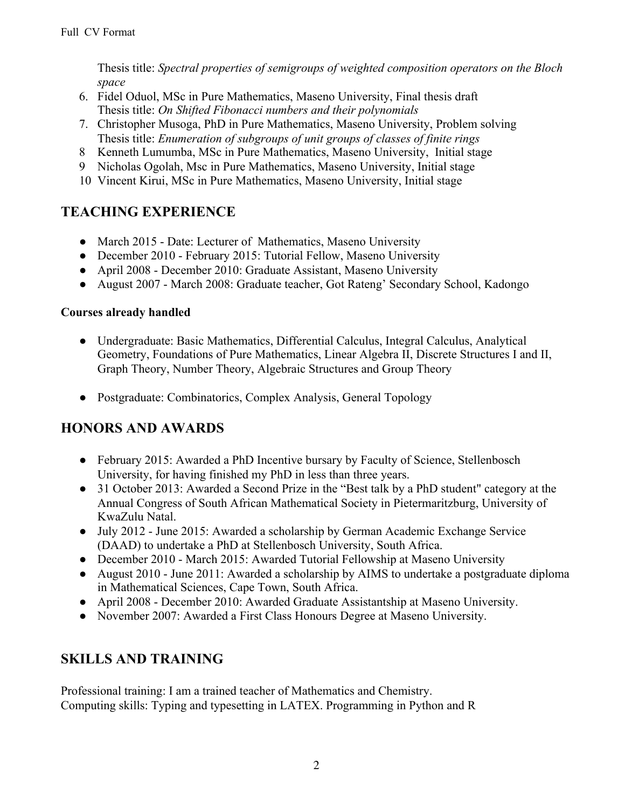Thesis title: *Spectral properties of semigroups of weighted composition operators on the Bloch space*

- 6. Fidel Oduol, MSc in Pure Mathematics, Maseno University, Final thesis draft Thesis title: *On Shifted Fibonacci numbers and their polynomials*
- 7. Christopher Musoga, PhD in Pure Mathematics, Maseno University, Problem solving Thesis title: *Enumeration of subgroups of unit groups of classes of finite rings*
- 8 Kenneth Lumumba, MSc in Pure Mathematics, Maseno University, Initial stage
- 9 Nicholas Ogolah, Msc in Pure Mathematics, Maseno University, Initial stage
- 10 Vincent Kirui, MSc in Pure Mathematics, Maseno University, Initial stage

# **TEACHING EXPERIENCE**

- March 2015 Date: Lecturer of Mathematics, Maseno University
- December 2010 February 2015: Tutorial Fellow, Maseno University
- April 2008 December 2010: Graduate Assistant, Maseno University
- August 2007 March 2008: Graduate teacher, Got Rateng' Secondary School, Kadongo

#### **Courses already handled**

- Undergraduate: Basic Mathematics, Differential Calculus, Integral Calculus, Analytical Geometry, Foundations of Pure Mathematics, Linear Algebra II, Discrete Structures I and II, Graph Theory, Number Theory, Algebraic Structures and Group Theory
- Postgraduate: Combinatorics, Complex Analysis, General Topology

# **HONORS AND AWARDS**

- February 2015: Awarded a PhD Incentive bursary by Faculty of Science, Stellenbosch University, for having finished my PhD in less than three years.
- 31 October 2013: Awarded a Second Prize in the "Best talk by a PhD student" category at the Annual Congress of South African Mathematical Society in Pietermaritzburg, University of KwaZulu Natal.
- July 2012 June 2015: Awarded a scholarship by German Academic Exchange Service (DAAD) to undertake a PhD at Stellenbosch University, South Africa.
- December 2010 March 2015: Awarded Tutorial Fellowship at Maseno University
- August 2010 June 2011: Awarded a scholarship by AIMS to undertake a postgraduate diploma in Mathematical Sciences, Cape Town, South Africa.
- April 2008 December 2010: Awarded Graduate Assistantship at Maseno University.
- November 2007: Awarded a First Class Honours Degree at Maseno University.

# **SKILLS AND TRAINING**

Professional training: I am a trained teacher of Mathematics and Chemistry. Computing skills: Typing and typesetting in LATEX. Programming in Python and R